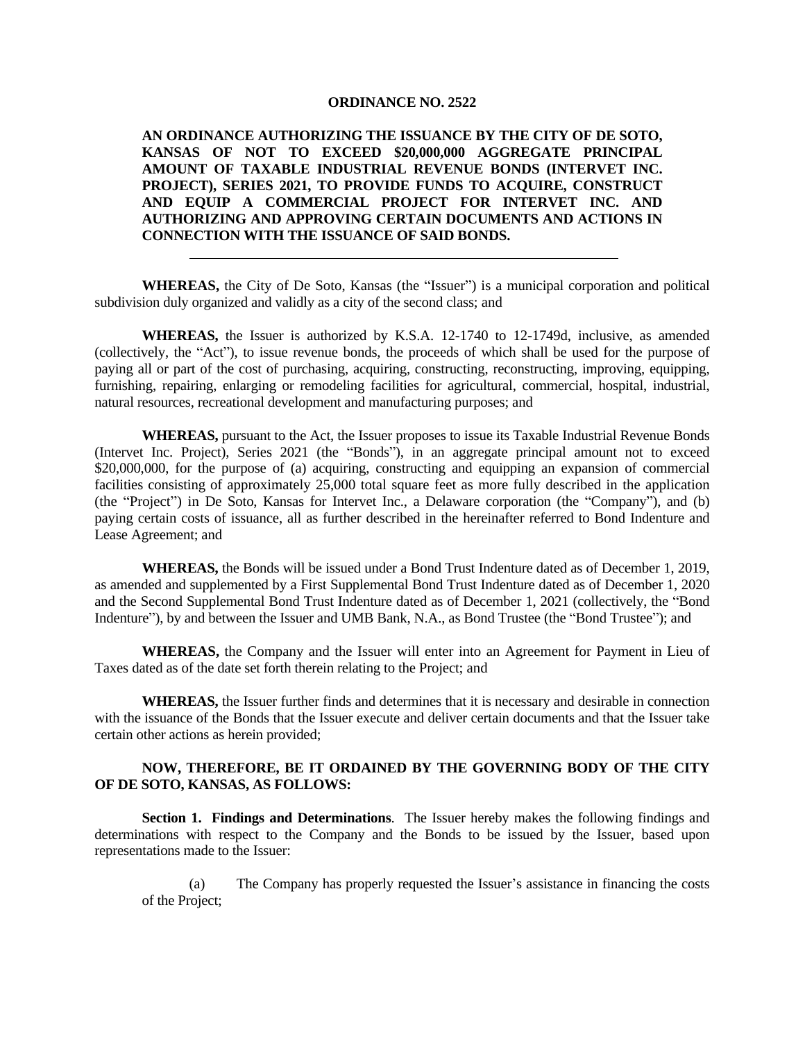## **ORDINANCE NO. 2522**

**AN ORDINANCE AUTHORIZING THE ISSUANCE BY THE CITY OF DE SOTO, KANSAS OF NOT TO EXCEED \$20,000,000 AGGREGATE PRINCIPAL AMOUNT OF TAXABLE INDUSTRIAL REVENUE BONDS (INTERVET INC. PROJECT), SERIES 2021, TO PROVIDE FUNDS TO ACQUIRE, CONSTRUCT AND EQUIP A COMMERCIAL PROJECT FOR INTERVET INC. AND AUTHORIZING AND APPROVING CERTAIN DOCUMENTS AND ACTIONS IN CONNECTION WITH THE ISSUANCE OF SAID BONDS.**

**WHEREAS,** the City of De Soto, Kansas (the "Issuer") is a municipal corporation and political subdivision duly organized and validly as a city of the second class; and

**WHEREAS,** the Issuer is authorized by K.S.A. 12-1740 to 12-1749d, inclusive, as amended (collectively, the "Act"), to issue revenue bonds, the proceeds of which shall be used for the purpose of paying all or part of the cost of purchasing, acquiring, constructing, reconstructing, improving, equipping, furnishing, repairing, enlarging or remodeling facilities for agricultural, commercial, hospital, industrial, natural resources, recreational development and manufacturing purposes; and

**WHEREAS,** pursuant to the Act, the Issuer proposes to issue its Taxable Industrial Revenue Bonds (Intervet Inc. Project), Series 2021 (the "Bonds"), in an aggregate principal amount not to exceed \$20,000,000, for the purpose of (a) acquiring, constructing and equipping an expansion of commercial facilities consisting of approximately 25,000 total square feet as more fully described in the application (the "Project") in De Soto, Kansas for Intervet Inc., a Delaware corporation (the "Company"), and (b) paying certain costs of issuance, all as further described in the hereinafter referred to Bond Indenture and Lease Agreement; and

**WHEREAS,** the Bonds will be issued under a Bond Trust Indenture dated as of December 1, 2019, as amended and supplemented by a First Supplemental Bond Trust Indenture dated as of December 1, 2020 and the Second Supplemental Bond Trust Indenture dated as of December 1, 2021 (collectively, the "Bond Indenture"), by and between the Issuer and UMB Bank, N.A., as Bond Trustee (the "Bond Trustee"); and

**WHEREAS,** the Company and the Issuer will enter into an Agreement for Payment in Lieu of Taxes dated as of the date set forth therein relating to the Project; and

**WHEREAS,** the Issuer further finds and determines that it is necessary and desirable in connection with the issuance of the Bonds that the Issuer execute and deliver certain documents and that the Issuer take certain other actions as herein provided;

## **NOW, THEREFORE, BE IT ORDAINED BY THE GOVERNING BODY OF THE CITY OF DE SOTO, KANSAS, AS FOLLOWS:**

**Section 1. Findings and Determinations**. The Issuer hereby makes the following findings and determinations with respect to the Company and the Bonds to be issued by the Issuer, based upon representations made to the Issuer:

(a) The Company has properly requested the Issuer's assistance in financing the costs of the Project;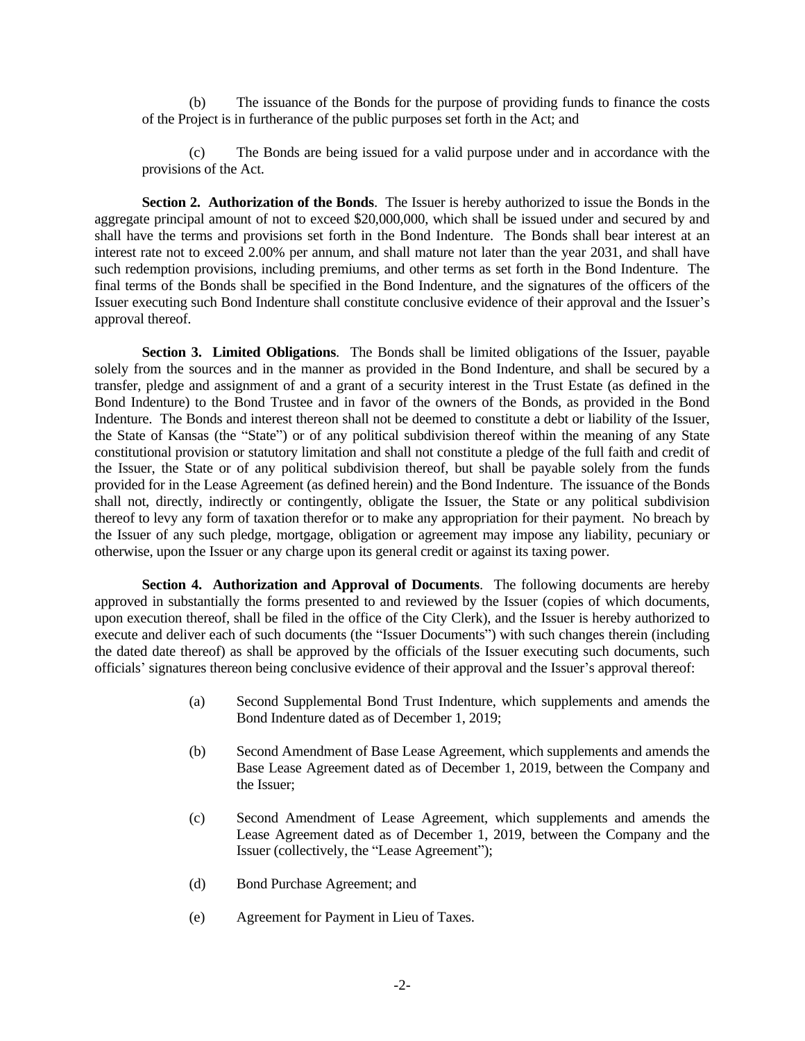(b) The issuance of the Bonds for the purpose of providing funds to finance the costs of the Project is in furtherance of the public purposes set forth in the Act; and

(c) The Bonds are being issued for a valid purpose under and in accordance with the provisions of the Act.

**Section 2. Authorization of the Bonds**. The Issuer is hereby authorized to issue the Bonds in the aggregate principal amount of not to exceed \$20,000,000, which shall be issued under and secured by and shall have the terms and provisions set forth in the Bond Indenture. The Bonds shall bear interest at an interest rate not to exceed 2.00% per annum, and shall mature not later than the year 2031, and shall have such redemption provisions, including premiums, and other terms as set forth in the Bond Indenture. The final terms of the Bonds shall be specified in the Bond Indenture, and the signatures of the officers of the Issuer executing such Bond Indenture shall constitute conclusive evidence of their approval and the Issuer's approval thereof.

**Section 3. Limited Obligations**. The Bonds shall be limited obligations of the Issuer, payable solely from the sources and in the manner as provided in the Bond Indenture, and shall be secured by a transfer, pledge and assignment of and a grant of a security interest in the Trust Estate (as defined in the Bond Indenture) to the Bond Trustee and in favor of the owners of the Bonds, as provided in the Bond Indenture. The Bonds and interest thereon shall not be deemed to constitute a debt or liability of the Issuer, the State of Kansas (the "State") or of any political subdivision thereof within the meaning of any State constitutional provision or statutory limitation and shall not constitute a pledge of the full faith and credit of the Issuer, the State or of any political subdivision thereof, but shall be payable solely from the funds provided for in the Lease Agreement (as defined herein) and the Bond Indenture. The issuance of the Bonds shall not, directly, indirectly or contingently, obligate the Issuer, the State or any political subdivision thereof to levy any form of taxation therefor or to make any appropriation for their payment. No breach by the Issuer of any such pledge, mortgage, obligation or agreement may impose any liability, pecuniary or otherwise, upon the Issuer or any charge upon its general credit or against its taxing power.

**Section 4. Authorization and Approval of Documents**. The following documents are hereby approved in substantially the forms presented to and reviewed by the Issuer (copies of which documents, upon execution thereof, shall be filed in the office of the City Clerk), and the Issuer is hereby authorized to execute and deliver each of such documents (the "Issuer Documents") with such changes therein (including the dated date thereof) as shall be approved by the officials of the Issuer executing such documents, such officials' signatures thereon being conclusive evidence of their approval and the Issuer's approval thereof:

- (a) Second Supplemental Bond Trust Indenture, which supplements and amends the Bond Indenture dated as of December 1, 2019;
- (b) Second Amendment of Base Lease Agreement, which supplements and amends the Base Lease Agreement dated as of December 1, 2019, between the Company and the Issuer;
- (c) Second Amendment of Lease Agreement, which supplements and amends the Lease Agreement dated as of December 1, 2019, between the Company and the Issuer (collectively, the "Lease Agreement");
- (d) Bond Purchase Agreement; and
- (e) Agreement for Payment in Lieu of Taxes.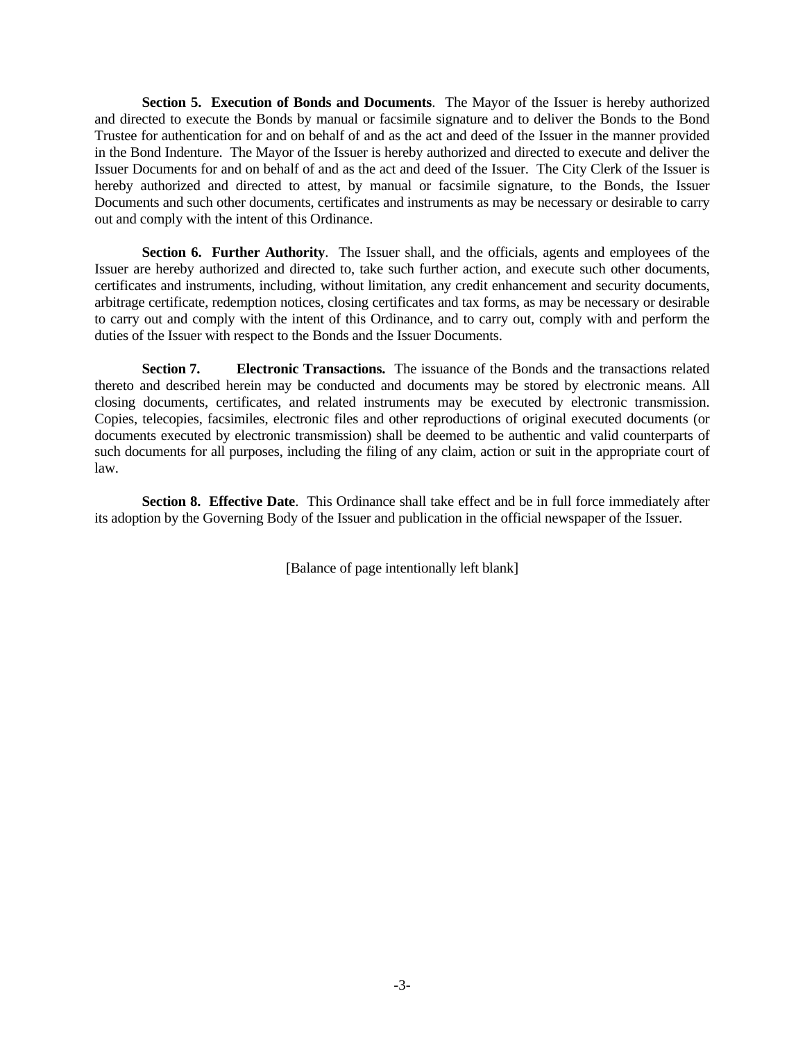**Section 5. Execution of Bonds and Documents**. The Mayor of the Issuer is hereby authorized and directed to execute the Bonds by manual or facsimile signature and to deliver the Bonds to the Bond Trustee for authentication for and on behalf of and as the act and deed of the Issuer in the manner provided in the Bond Indenture. The Mayor of the Issuer is hereby authorized and directed to execute and deliver the Issuer Documents for and on behalf of and as the act and deed of the Issuer. The City Clerk of the Issuer is hereby authorized and directed to attest, by manual or facsimile signature, to the Bonds, the Issuer Documents and such other documents, certificates and instruments as may be necessary or desirable to carry out and comply with the intent of this Ordinance.

**Section 6. Further Authority**. The Issuer shall, and the officials, agents and employees of the Issuer are hereby authorized and directed to, take such further action, and execute such other documents, certificates and instruments, including, without limitation, any credit enhancement and security documents, arbitrage certificate, redemption notices, closing certificates and tax forms, as may be necessary or desirable to carry out and comply with the intent of this Ordinance, and to carry out, comply with and perform the duties of the Issuer with respect to the Bonds and the Issuer Documents.

**Section 7. Electronic Transactions.** The issuance of the Bonds and the transactions related thereto and described herein may be conducted and documents may be stored by electronic means. All closing documents, certificates, and related instruments may be executed by electronic transmission. Copies, telecopies, facsimiles, electronic files and other reproductions of original executed documents (or documents executed by electronic transmission) shall be deemed to be authentic and valid counterparts of such documents for all purposes, including the filing of any claim, action or suit in the appropriate court of law.

**Section 8. Effective Date**. This Ordinance shall take effect and be in full force immediately after its adoption by the Governing Body of the Issuer and publication in the official newspaper of the Issuer.

[Balance of page intentionally left blank]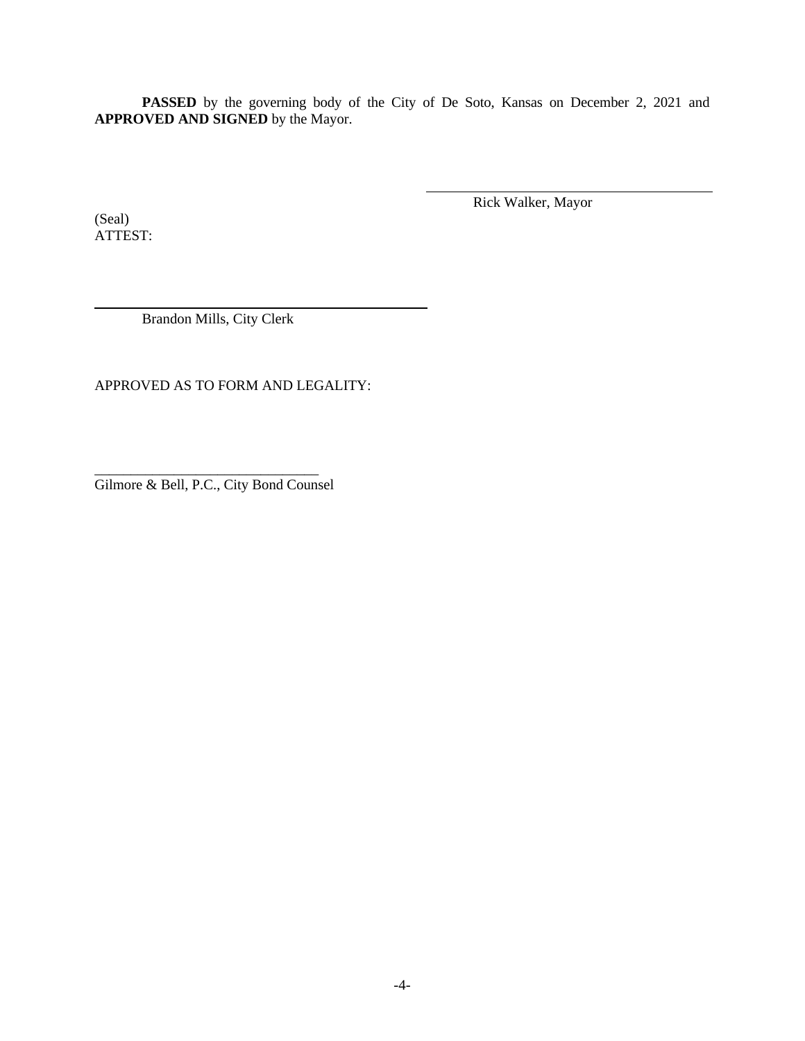**PASSED** by the governing body of the City of De Soto, Kansas on December 2, 2021 and **APPROVED AND SIGNED** by the Mayor.

 $\overline{a}$ 

(Seal) ATTEST:

 $\overline{a}$ 

Rick Walker, Mayor

Brandon Mills, City Clerk

APPROVED AS TO FORM AND LEGALITY:

\_\_\_\_\_\_\_\_\_\_\_\_\_\_\_\_\_\_\_\_\_\_\_\_\_\_\_\_\_\_\_ Gilmore & Bell, P.C., City Bond Counsel